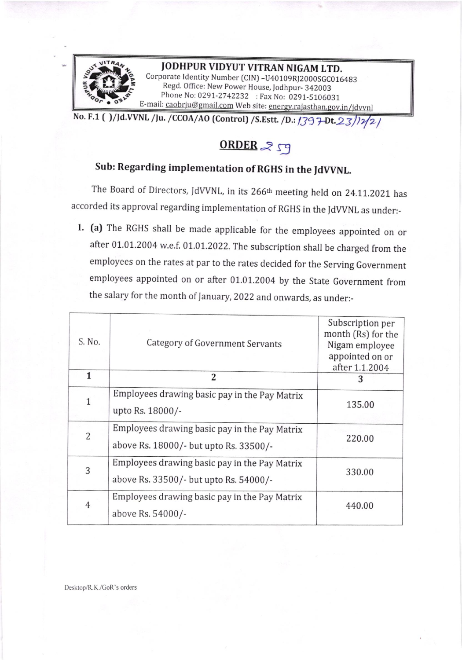

JODHPUR VIDYUT VITRAN NIGAM LTD. Corporate ldentity Number (CIN) -U40109Rl2000SGCO <sup>16483</sup> Regd. Office: New power House, Iodhpur\_ 342003 Phone No: 0291-2742232 : Fax No: 0291-5106031 E-mail: <u>caobrju@gmail.com</u> Web site

No. F.1 ( )/Jd.VVNL /Ju. /CCOA/AO (Control) /S.Estt. /D.: 1397-Dt. 23/12/2 /

## $ORDER <sub>25</sub>$

## Sub: Regarding implementation of RGHS in the JdWNt.

The Board of Directors, JdVVNL, in its 266<sup>th</sup> meeting held on 24.11.2021 has accorded its approval regarding implementation of RGHS in the JdwNL as under:-

l. (a) The RGHS shall be made applicable for the employees appointed on or after 01.01.2004 w.e.f. 01.01.2022. The subscription shall be charged from the employees on the rates at par to the rates decided for the serving Government employees appointed on or after 01.01.2004 by the state Government from the salary for the month of January, 2022 and onwards, as under:-

| S. No.         | Category of Government Servants                                                         | Subscription per<br>month (Rs) for the<br>Nigam employee<br>appointed on or<br>after 1.1.2004 |
|----------------|-----------------------------------------------------------------------------------------|-----------------------------------------------------------------------------------------------|
| 1              | 2                                                                                       | 3                                                                                             |
| $\mathbf{1}$   | Employees drawing basic pay in the Pay Matrix<br>upto Rs. 18000/-                       | 135.00                                                                                        |
| 2              | Employees drawing basic pay in the Pay Matrix<br>above Rs. 18000/- but upto Rs. 33500/- | 220.00                                                                                        |
| 3              | Employees drawing basic pay in the Pay Matrix<br>above Rs. 33500/- but upto Rs. 54000/- | 330.00                                                                                        |
| $\overline{4}$ | Employees drawing basic pay in the Pay Matrix<br>above Rs. 54000/-                      | 440.00                                                                                        |

Desktop/R.K./CoR's orders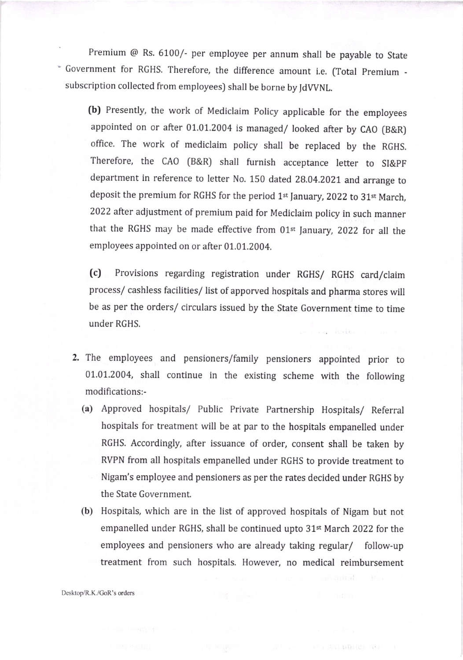Premium @ Rs. 6100/- per employee per annum shall be payable to state - Government for RGHS. Therefore, the difference amount i.e. (Total premium subscription collected from employees) shall be borne by JdWNL.

(b) Presently, the work of Mediclaim policy applicable for the employees appointed on or after 01.0I.2004 is managed/ looked after by CAO (B&R) office. The work of mediclaim policy shall be replaced by the RGHS. Therefore, the CAO (B&R) shall furnish acceptance letter to SI&pF department in reference to letter No. 150 dated 28.04.2021 and arrange to deposit the premium for RGHS for the period 1st January, 2022 to 31st March, 2022 after adjustment of premium paid for Mediclaim policy in such manner that the RGHS may be made effective from 01<sup>st</sup> January, 2022 for all the employees appointed on or after 01.01.2004.

(c) Provisions regarding registration under RGHS/ RGHS card/claim process/ cashless facilities/ list of apporved hospitals and pharma stores will be as per the orders/ circulars issued by the State Government time to time under RGHS.

- 2. The employees and pensioners/family pensioners appointed prior to 01.01.2004, shall continue in the existing scheme with the following modifications:-
	- (a) Approved hospitals/ Public Private Partnership Hospitals/ Referral hospitals for treatment will be at par to the hospitals empanelled under RGHS. Accordingly, after issuance of order, consent shall be taken by RVPN from all hospitals empanelled under RGHS to provide treatment to Nigam's employee and pensioners as per the rates decided under RGHS by the State Government.
	- (b) Hospitals, which are in the list of approved hospitals of Nigam but not empanelled under RGHS, shall be continued upto 31st March 2022 for the employees and pensioners who are already taking regular/ follow-up treatment from such hospltals. However, no medical reimbursement

THE TELEVISION CONTROL IN STR

Desktop/R.K./GoR's orders